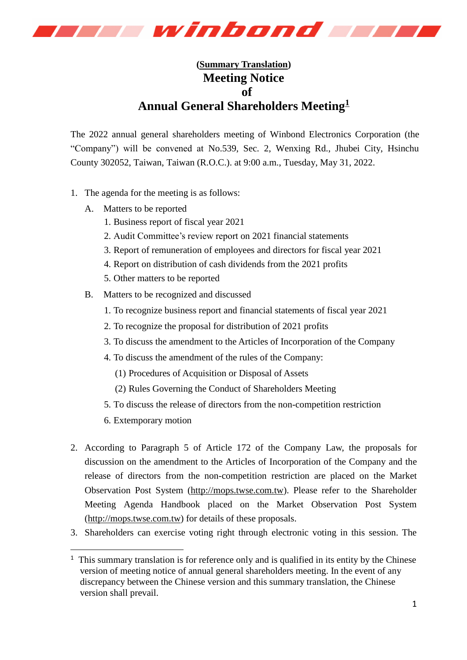

## **(Summary Translation) Meeting Notice of Annual General Shareholders Meeting<sup>1</sup>**

The 2022 annual general shareholders meeting of Winbond Electronics Corporation (the "Company") will be convened at No.539, Sec. 2, Wenxing Rd., Jhubei City, Hsinchu County 302052, Taiwan, Taiwan (R.O.C.). at 9:00 a.m., Tuesday, May 31, 2022.

- 1. The agenda for the meeting is as follows:
	- A. Matters to be reported
		- 1. Business report of fiscal year 2021
		- 2. Audit Committee's review report on 2021 financial statements
		- 3. Report of remuneration of employees and directors for fiscal year 2021
		- 4. Report on distribution of cash dividends from the 2021 profits
		- 5. Other matters to be reported
	- B. Matters to be recognized and discussed
		- 1. To recognize business report and financial statements of fiscal year 2021
		- 2. To recognize the proposal for distribution of 2021 profits
		- 3. To discuss the amendment to the Articles of Incorporation of the Company
		- 4. To discuss the amendment of the rules of the Company:
			- (1) Procedures of Acquisition or Disposal of Assets
			- (2) Rules Governing the Conduct of Shareholders Meeting
		- 5. To discuss the release of directors from the non-competition restriction
		- 6. Extemporary motion

-

- 2. According to Paragraph 5 of Article 172 of the Company Law, the proposals for discussion on the amendment to the Articles of Incorporation of the Company and the release of directors from the non-competition restriction are placed on the Market Observation Post System [\(http://mops.twse.com.tw\)](http://mops.twse.com.tw/). Please refer to the Shareholder Meeting Agenda Handbook placed on the Market Observation Post System [\(http://mops.twse.com.tw\)](http://mops.twse.com.tw/) for details of these proposals.
- 3. Shareholders can exercise voting right through electronic voting in this session. The

 $<sup>1</sup>$  This summary translation is for reference only and is qualified in its entity by the Chinese</sup> version of meeting notice of annual general shareholders meeting. In the event of any discrepancy between the Chinese version and this summary translation, the Chinese version shall prevail.